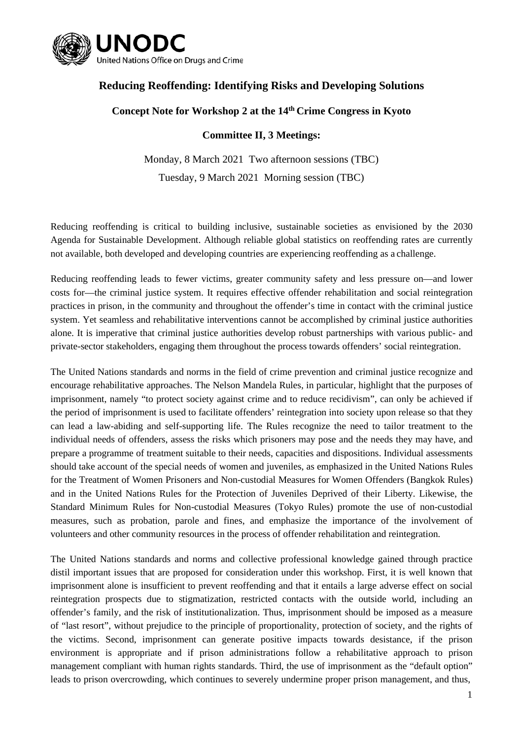

## **Reducing Reoffending: Identifying Risks and Developing Solutions**

## **Concept Note for Workshop 2 at the 14th Crime Congress in Kyoto**

## **Committee II, 3 Meetings:**

Monday, 8 March 2021 Two afternoon sessions (TBC) Tuesday, 9 March 2021 Morning session (TBC)

Reducing reoffending is critical to building inclusive, sustainable societies as envisioned by the 2030 Agenda for Sustainable Development. Although reliable global statistics on reoffending rates are currently not available, both developed and developing countries are experiencing reoffending as a challenge.

Reducing reoffending leads to fewer victims, greater community safety and less pressure on—and lower costs for—the criminal justice system. It requires effective offender rehabilitation and social reintegration practices in prison, in the community and throughout the offender's time in contact with the criminal justice system. Yet seamless and rehabilitative interventions cannot be accomplished by criminal justice authorities alone. It is imperative that criminal justice authorities develop robust partnerships with various public- and private-sector stakeholders, engaging them throughout the process towards offenders' social reintegration.

The United Nations standards and norms in the field of crime prevention and criminal justice recognize and encourage rehabilitative approaches. The Nelson Mandela Rules, in particular, highlight that the purposes of imprisonment, namely "to protect society against crime and to reduce recidivism", can only be achieved if the period of imprisonment is used to facilitate offenders' reintegration into society upon release so that they can lead a law-abiding and self-supporting life. The Rules recognize the need to tailor treatment to the individual needs of offenders, assess the risks which prisoners may pose and the needs they may have, and prepare a programme of treatment suitable to their needs, capacities and dispositions. Individual assessments should take account of the special needs of women and juveniles, as emphasized in the United Nations Rules for the Treatment of Women Prisoners and Non-custodial Measures for Women Offenders (Bangkok Rules) and in the United Nations Rules for the Protection of Juveniles Deprived of their Liberty. Likewise, the Standard Minimum Rules for Non-custodial Measures (Tokyo Rules) promote the use of non-custodial measures, such as probation, parole and fines, and emphasize the importance of the involvement of volunteers and other community resources in the process of offender rehabilitation and reintegration.

The United Nations standards and norms and collective professional knowledge gained through practice distil important issues that are proposed for consideration under this workshop. First, it is well known that imprisonment alone is insufficient to prevent reoffending and that it entails a large adverse effect on social reintegration prospects due to stigmatization, restricted contacts with the outside world, including an offender's family, and the risk of institutionalization. Thus, imprisonment should be imposed as a measure of "last resort", without prejudice to the principle of proportionality, protection of society, and the rights of the victims. Second, imprisonment can generate positive impacts towards desistance, if the prison environment is appropriate and if prison administrations follow a rehabilitative approach to prison management compliant with human rights standards. Third, the use of imprisonment as the "default option" leads to prison overcrowding, which continues to severely undermine proper prison management, and thus,